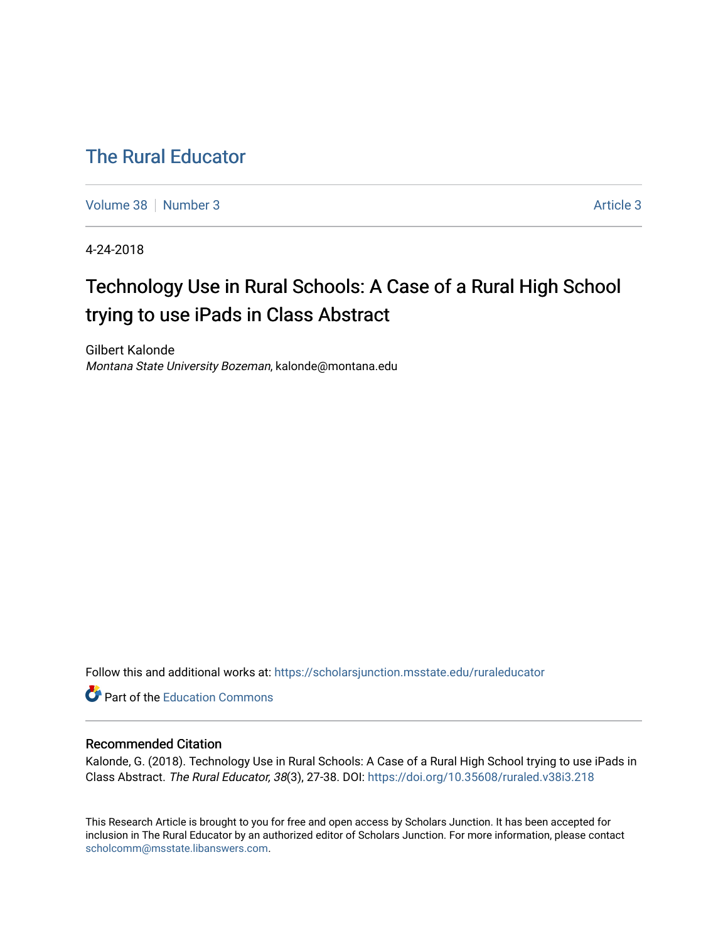# [The Rural Educator](https://scholarsjunction.msstate.edu/ruraleducator)

[Volume 38](https://scholarsjunction.msstate.edu/ruraleducator/vol38) [Number 3](https://scholarsjunction.msstate.edu/ruraleducator/vol38/iss3) [Article 3](https://scholarsjunction.msstate.edu/ruraleducator/vol38/iss3/3) Article 3 Article 3 Article 3 Article 3 Article 3 Article 3 Article 3 Article 3 Article 3 Article 3 Article 3 Article 3 Article 3 Article 3 Article 3 Article 3 Article 3 Article 3 Article 3 Art

4-24-2018

# Technology Use in Rural Schools: A Case of a Rural High School trying to use iPads in Class Abstract

Gilbert Kalonde Montana State University Bozeman, kalonde@montana.edu

Follow this and additional works at: [https://scholarsjunction.msstate.edu/ruraleducator](https://scholarsjunction.msstate.edu/ruraleducator?utm_source=scholarsjunction.msstate.edu%2Fruraleducator%2Fvol38%2Fiss3%2F3&utm_medium=PDF&utm_campaign=PDFCoverPages)

Part of the [Education Commons](http://network.bepress.com/hgg/discipline/784?utm_source=scholarsjunction.msstate.edu%2Fruraleducator%2Fvol38%2Fiss3%2F3&utm_medium=PDF&utm_campaign=PDFCoverPages)

# Recommended Citation

Kalonde, G. (2018). Technology Use in Rural Schools: A Case of a Rural High School trying to use iPads in Class Abstract. The Rural Educator, 38(3), 27-38. DOI:<https://doi.org/10.35608/ruraled.v38i3.218>

This Research Article is brought to you for free and open access by Scholars Junction. It has been accepted for inclusion in The Rural Educator by an authorized editor of Scholars Junction. For more information, please contact [scholcomm@msstate.libanswers.com.](mailto:scholcomm@msstate.libanswers.com)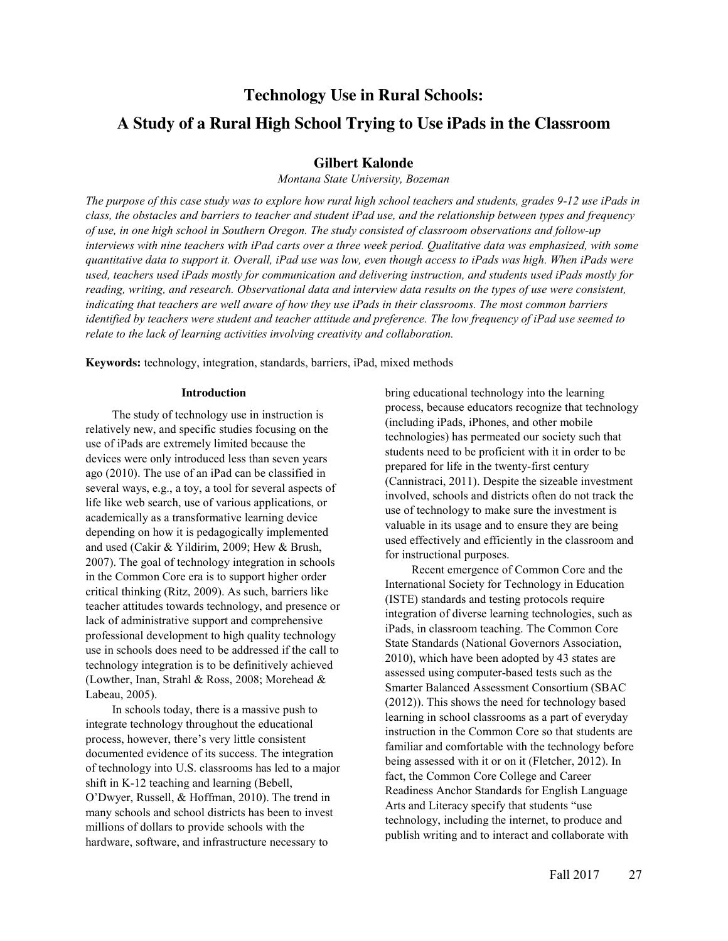# **Technology Use in Rural Schools: A Study of a Rural High School Trying to Use iPads in the Classroom**

# **Gilbert Kalonde**

*Montana State University, Bozeman*

*The purpose of this case study was to explore how rural high school teachers and students, grades 9-12 use iPads in class, the obstacles and barriers to teacher and student iPad use, and the relationship between types and frequency of use, in one high school in Southern Oregon. The study consisted of classroom observations and follow-up interviews with nine teachers with iPad carts over a three week period. Qualitative data was emphasized, with some quantitative data to support it. Overall, iPad use was low, even though access to iPads was high. When iPads were used, teachers used iPads mostly for communication and delivering instruction, and students used iPads mostly for reading, writing, and research. Observational data and interview data results on the types of use were consistent, indicating that teachers are well aware of how they use iPads in their classrooms. The most common barriers identified by teachers were student and teacher attitude and preference. The low frequency of iPad use seemed to relate to the lack of learning activities involving creativity and collaboration.*

**Keywords:** technology, integration, standards, barriers, iPad, mixed methods

## **Introduction**

The study of technology use in instruction is relatively new, and specific studies focusing on the use of iPads are extremely limited because the devices were only introduced less than seven years ago (2010). The use of an iPad can be classified in several ways, e.g., a toy, a tool for several aspects of life like web search, use of various applications, or academically as a transformative learning device depending on how it is pedagogically implemented and used (Cakir & Yildirim, 2009; Hew & Brush, 2007). The goal of technology integration in schools in the Common Core era is to support higher order critical thinking (Ritz, 2009). As such, barriers like teacher attitudes towards technology, and presence or lack of administrative support and comprehensive professional development to high quality technology use in schools does need to be addressed if the call to technology integration is to be definitively achieved (Lowther, Inan, Strahl & Ross, 2008; Morehead & Labeau, 2005).

In schools today, there is a massive push to integrate technology throughout the educational process, however, there's very little consistent documented evidence of its success. The integration of technology into U.S. classrooms has led to a major shift in K-12 teaching and learning (Bebell, O'Dwyer, Russell, & Hoffman, 2010). The trend in many schools and school districts has been to invest millions of dollars to provide schools with the hardware, software, and infrastructure necessary to

bring educational technology into the learning process, because educators recognize that technology (including iPads, iPhones, and other mobile technologies) has permeated our society such that students need to be proficient with it in order to be prepared for life in the twenty-first century (Cannistraci, 2011). Despite the sizeable investment involved, schools and districts often do not track the use of technology to make sure the investment is valuable in its usage and to ensure they are being used effectively and efficiently in the classroom and for instructional purposes.

Recent emergence of Common Core and the International Society for Technology in Education (ISTE) standards and testing protocols require integration of diverse learning technologies, such as iPads, in classroom teaching. The Common Core State Standards (National Governors Association, 2010), which have been adopted by 43 states are assessed using computer-based tests such as the Smarter Balanced Assessment Consortium (SBAC (2012)). This shows the need for technology based learning in school classrooms as a part of everyday instruction in the Common Core so that students are familiar and comfortable with the technology before being assessed with it or on it (Fletcher, 2012). In fact, the Common Core College and Career Readiness Anchor Standards for English Language Arts and Literacy specify that students "use technology, including the internet, to produce and publish writing and to interact and collaborate with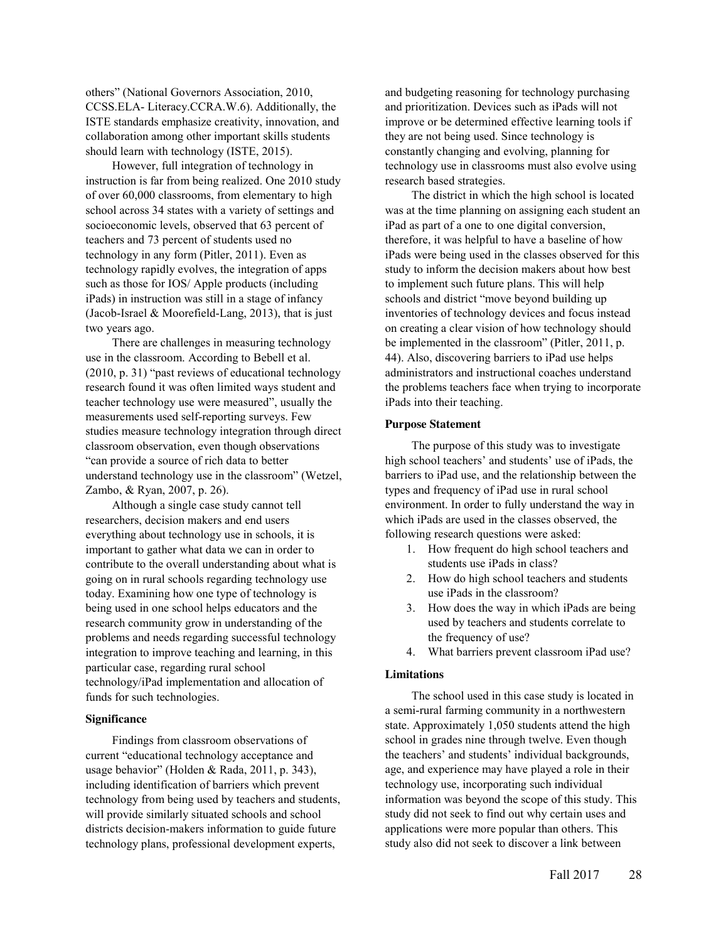others" (National Governors Association, 2010, CCSS.ELA- Literacy.CCRA.W.6). Additionally, the ISTE standards emphasize creativity, innovation, and collaboration among other important skills students should learn with technology (ISTE, 2015).

However, full integration of technology in instruction is far from being realized. One 2010 study of over 60,000 classrooms, from elementary to high school across 34 states with a variety of settings and socioeconomic levels, observed that 63 percent of teachers and 73 percent of students used no technology in any form (Pitler, 2011). Even as technology rapidly evolves, the integration of apps such as those for IOS/ Apple products (including iPads) in instruction was still in a stage of infancy (Jacob-Israel & Moorefield-Lang, 2013), that is just two years ago.

There are challenges in measuring technology use in the classroom. According to Bebell et al. (2010, p. 31) "past reviews of educational technology research found it was often limited ways student and teacher technology use were measured", usually the measurements used self-reporting surveys. Few studies measure technology integration through direct classroom observation, even though observations "can provide a source of rich data to better understand technology use in the classroom" (Wetzel, Zambo, & Ryan, 2007, p. 26).

Although a single case study cannot tell researchers, decision makers and end users everything about technology use in schools, it is important to gather what data we can in order to contribute to the overall understanding about what is going on in rural schools regarding technology use today. Examining how one type of technology is being used in one school helps educators and the research community grow in understanding of the problems and needs regarding successful technology integration to improve teaching and learning, in this particular case, regarding rural school technology/iPad implementation and allocation of funds for such technologies.

# **Significance**

Findings from classroom observations of current "educational technology acceptance and usage behavior" (Holden & Rada, 2011, p. 343), including identification of barriers which prevent technology from being used by teachers and students, will provide similarly situated schools and school districts decision-makers information to guide future technology plans, professional development experts,

and budgeting reasoning for technology purchasing and prioritization. Devices such as iPads will not improve or be determined effective learning tools if they are not being used. Since technology is constantly changing and evolving, planning for technology use in classrooms must also evolve using research based strategies.

The district in which the high school is located was at the time planning on assigning each student an iPad as part of a one to one digital conversion, therefore, it was helpful to have a baseline of how iPads were being used in the classes observed for this study to inform the decision makers about how best to implement such future plans. This will help schools and district "move beyond building up inventories of technology devices and focus instead on creating a clear vision of how technology should be implemented in the classroom" (Pitler, 2011, p. 44). Also, discovering barriers to iPad use helps administrators and instructional coaches understand the problems teachers face when trying to incorporate iPads into their teaching.

#### **Purpose Statement**

The purpose of this study was to investigate high school teachers' and students' use of iPads, the barriers to iPad use, and the relationship between the types and frequency of iPad use in rural school environment. In order to fully understand the way in which iPads are used in the classes observed, the following research questions were asked:

- 1. How frequent do high school teachers and students use iPads in class?
- 2. How do high school teachers and students use iPads in the classroom?
- 3. How does the way in which iPads are being used by teachers and students correlate to the frequency of use?
- 4. What barriers prevent classroom iPad use?

#### **Limitations**

The school used in this case study is located in a semi-rural farming community in a northwestern state. Approximately 1,050 students attend the high school in grades nine through twelve. Even though the teachers' and students' individual backgrounds, age, and experience may have played a role in their technology use, incorporating such individual information was beyond the scope of this study. This study did not seek to find out why certain uses and applications were more popular than others. This study also did not seek to discover a link between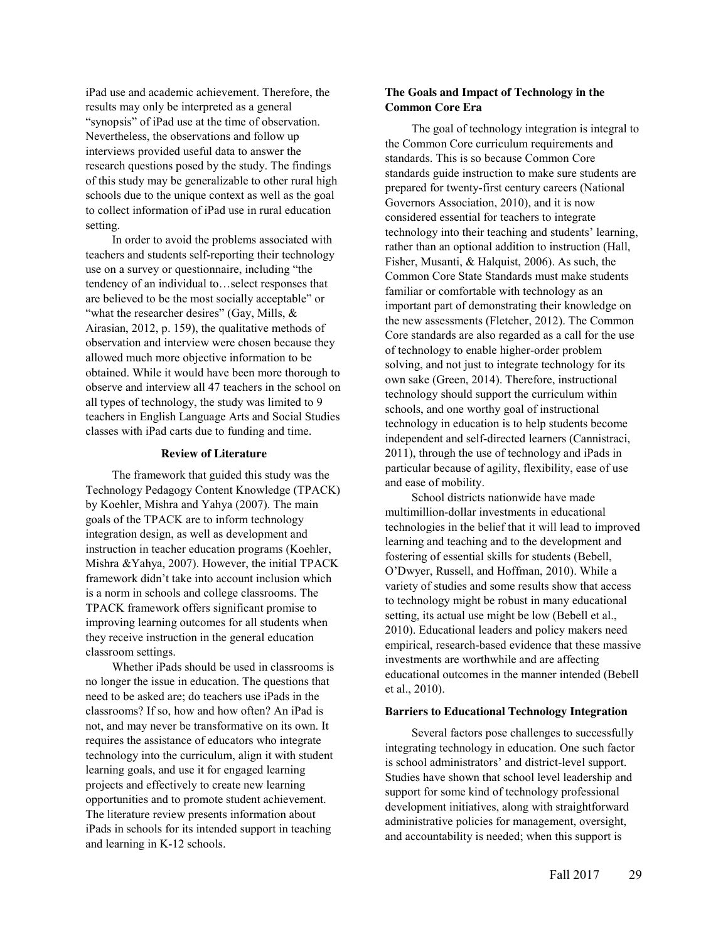iPad use and academic achievement. Therefore, the results may only be interpreted as a general "synopsis" of iPad use at the time of observation. Nevertheless, the observations and follow up interviews provided useful data to answer the research questions posed by the study. The findings of this study may be generalizable to other rural high schools due to the unique context as well as the goal to collect information of iPad use in rural education setting.

In order to avoid the problems associated with teachers and students self-reporting their technology use on a survey or questionnaire, including "the tendency of an individual to…select responses that are believed to be the most socially acceptable" or "what the researcher desires" (Gay, Mills,  $\&$ Airasian, 2012, p. 159), the qualitative methods of observation and interview were chosen because they allowed much more objective information to be obtained. While it would have been more thorough to observe and interview all 47 teachers in the school on all types of technology, the study was limited to 9 teachers in English Language Arts and Social Studies classes with iPad carts due to funding and time.

# **Review of Literature**

The framework that guided this study was the Technology Pedagogy Content Knowledge (TPACK) by Koehler, Mishra and Yahya (2007). The main goals of the TPACK are to inform technology integration design, as well as development and instruction in teacher education programs (Koehler, Mishra &Yahya, 2007). However, the initial TPACK framework didn't take into account inclusion which is a norm in schools and college classrooms. The TPACK framework offers significant promise to improving learning outcomes for all students when they receive instruction in the general education classroom settings.

Whether iPads should be used in classrooms is no longer the issue in education. The questions that need to be asked are; do teachers use iPads in the classrooms? If so, how and how often? An iPad is not, and may never be transformative on its own. It requires the assistance of educators who integrate technology into the curriculum, align it with student learning goals, and use it for engaged learning projects and effectively to create new learning opportunities and to promote student achievement. The literature review presents information about iPads in schools for its intended support in teaching and learning in K-12 schools.

# **The Goals and Impact of Technology in the Common Core Era**

The goal of technology integration is integral to the Common Core curriculum requirements and standards. This is so because Common Core standards guide instruction to make sure students are prepared for twenty-first century careers (National Governors Association, 2010), and it is now considered essential for teachers to integrate technology into their teaching and students' learning, rather than an optional addition to instruction (Hall, Fisher, Musanti, & Halquist, 2006). As such, the Common Core State Standards must make students familiar or comfortable with technology as an important part of demonstrating their knowledge on the new assessments (Fletcher, 2012). The Common Core standards are also regarded as a call for the use of technology to enable higher-order problem solving, and not just to integrate technology for its own sake (Green, 2014). Therefore, instructional technology should support the curriculum within schools, and one worthy goal of instructional technology in education is to help students become independent and self-directed learners (Cannistraci, 2011), through the use of technology and iPads in particular because of agility, flexibility, ease of use and ease of mobility.

School districts nationwide have made multimillion-dollar investments in educational technologies in the belief that it will lead to improved learning and teaching and to the development and fostering of essential skills for students (Bebell, O'Dwyer, Russell, and Hoffman, 2010). While a variety of studies and some results show that access to technology might be robust in many educational setting, its actual use might be low (Bebell et al., 2010). Educational leaders and policy makers need empirical, research-based evidence that these massive investments are worthwhile and are affecting educational outcomes in the manner intended (Bebell et al., 2010).

#### **Barriers to Educational Technology Integration**

Several factors pose challenges to successfully integrating technology in education. One such factor is school administrators' and district-level support. Studies have shown that school level leadership and support for some kind of technology professional development initiatives, along with straightforward administrative policies for management, oversight, and accountability is needed; when this support is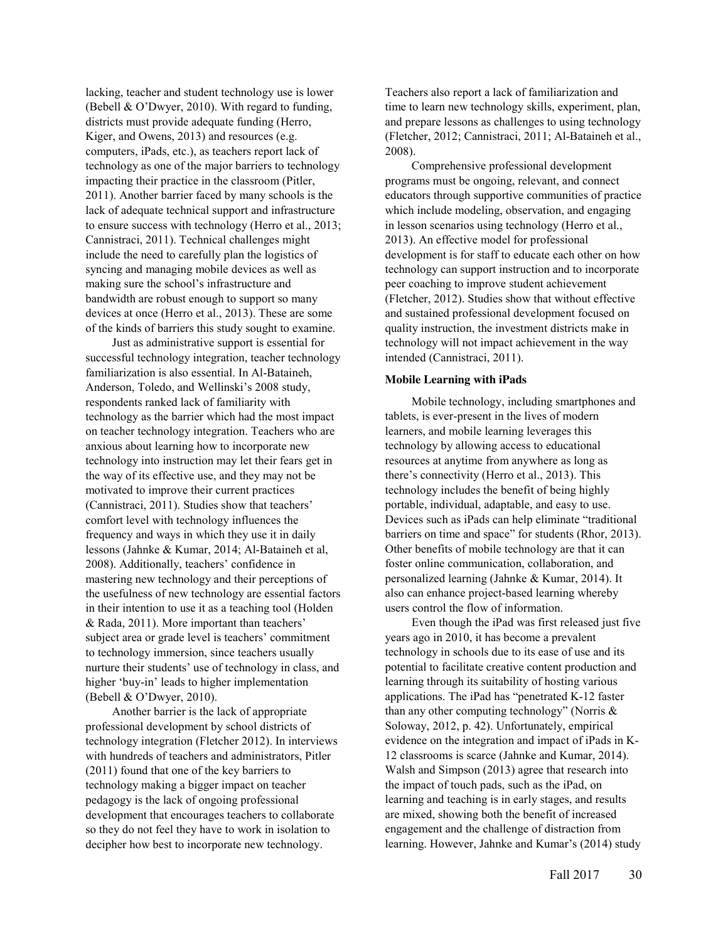lacking, teacher and student technology use is lower (Bebell & O'Dwyer, 2010). With regard to funding, districts must provide adequate funding (Herro, Kiger, and Owens, 2013) and resources (e.g. computers, iPads, etc.), as teachers report lack of technology as one of the major barriers to technology impacting their practice in the classroom (Pitler, 2011). Another barrier faced by many schools is the lack of adequate technical support and infrastructure to ensure success with technology (Herro et al., 2013; Cannistraci, 2011). Technical challenges might include the need to carefully plan the logistics of syncing and managing mobile devices as well as making sure the school's infrastructure and bandwidth are robust enough to support so many devices at once (Herro et al., 2013). These are some of the kinds of barriers this study sought to examine.

Just as administrative support is essential for successful technology integration, teacher technology familiarization is also essential. In Al-Bataineh, Anderson, Toledo, and Wellinski's 2008 study, respondents ranked lack of familiarity with technology as the barrier which had the most impact on teacher technology integration. Teachers who are anxious about learning how to incorporate new technology into instruction may let their fears get in the way of its effective use, and they may not be motivated to improve their current practices (Cannistraci, 2011). Studies show that teachers' comfort level with technology influences the frequency and ways in which they use it in daily lessons (Jahnke & Kumar, 2014; Al-Bataineh et al, 2008). Additionally, teachers' confidence in mastering new technology and their perceptions of the usefulness of new technology are essential factors in their intention to use it as a teaching tool (Holden & Rada, 2011). More important than teachers' subject area or grade level is teachers' commitment to technology immersion, since teachers usually nurture their students' use of technology in class, and higher 'buy-in' leads to higher implementation (Bebell & O'Dwyer, 2010).

Another barrier is the lack of appropriate professional development by school districts of technology integration (Fletcher 2012). In interviews with hundreds of teachers and administrators, Pitler (2011) found that one of the key barriers to technology making a bigger impact on teacher pedagogy is the lack of ongoing professional development that encourages teachers to collaborate so they do not feel they have to work in isolation to decipher how best to incorporate new technology.

Teachers also report a lack of familiarization and time to learn new technology skills, experiment, plan, and prepare lessons as challenges to using technology (Fletcher, 2012; Cannistraci, 2011; Al-Bataineh et al., 2008).

Comprehensive professional development programs must be ongoing, relevant, and connect educators through supportive communities of practice which include modeling, observation, and engaging in lesson scenarios using technology (Herro et al., 2013). An effective model for professional development is for staff to educate each other on how technology can support instruction and to incorporate peer coaching to improve student achievement (Fletcher, 2012). Studies show that without effective and sustained professional development focused on quality instruction, the investment districts make in technology will not impact achievement in the way intended (Cannistraci, 2011).

# **Mobile Learning with iPads**

Mobile technology, including smartphones and tablets, is ever-present in the lives of modern learners, and mobile learning leverages this technology by allowing access to educational resources at anytime from anywhere as long as there's connectivity (Herro et al., 2013). This technology includes the benefit of being highly portable, individual, adaptable, and easy to use. Devices such as iPads can help eliminate "traditional barriers on time and space" for students (Rhor, 2013). Other benefits of mobile technology are that it can foster online communication, collaboration, and personalized learning (Jahnke & Kumar, 2014). It also can enhance project-based learning whereby users control the flow of information.

Even though the iPad was first released just five years ago in 2010, it has become a prevalent technology in schools due to its ease of use and its potential to facilitate creative content production and learning through its suitability of hosting various applications. The iPad has "penetrated K-12 faster than any other computing technology" (Norris & Soloway, 2012, p. 42). Unfortunately, empirical evidence on the integration and impact of iPads in K-12 classrooms is scarce (Jahnke and Kumar, 2014). Walsh and Simpson (2013) agree that research into the impact of touch pads, such as the iPad, on learning and teaching is in early stages, and results are mixed, showing both the benefit of increased engagement and the challenge of distraction from learning. However, Jahnke and Kumar's (2014) study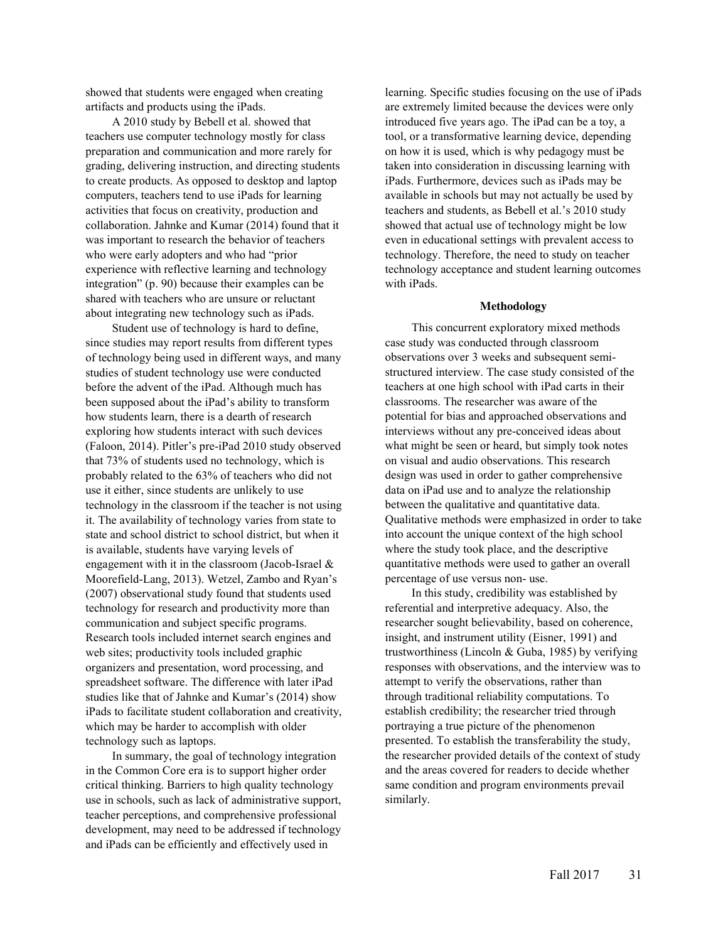showed that students were engaged when creating artifacts and products using the iPads.

A 2010 study by Bebell et al. showed that teachers use computer technology mostly for class preparation and communication and more rarely for grading, delivering instruction, and directing students to create products. As opposed to desktop and laptop computers, teachers tend to use iPads for learning activities that focus on creativity, production and collaboration. Jahnke and Kumar (2014) found that it was important to research the behavior of teachers who were early adopters and who had "prior experience with reflective learning and technology integration" (p. 90) because their examples can be shared with teachers who are unsure or reluctant about integrating new technology such as iPads.

Student use of technology is hard to define, since studies may report results from different types of technology being used in different ways, and many studies of student technology use were conducted before the advent of the iPad. Although much has been supposed about the iPad's ability to transform how students learn, there is a dearth of research exploring how students interact with such devices (Faloon, 2014). Pitler's pre-iPad 2010 study observed that 73% of students used no technology, which is probably related to the 63% of teachers who did not use it either, since students are unlikely to use technology in the classroom if the teacher is not using it. The availability of technology varies from state to state and school district to school district, but when it is available, students have varying levels of engagement with it in the classroom (Jacob-Israel & Moorefield-Lang, 2013). Wetzel, Zambo and Ryan's (2007) observational study found that students used technology for research and productivity more than communication and subject specific programs. Research tools included internet search engines and web sites; productivity tools included graphic organizers and presentation, word processing, and spreadsheet software. The difference with later iPad studies like that of Jahnke and Kumar's (2014) show iPads to facilitate student collaboration and creativity, which may be harder to accomplish with older technology such as laptops.

In summary, the goal of technology integration in the Common Core era is to support higher order critical thinking. Barriers to high quality technology use in schools, such as lack of administrative support, teacher perceptions, and comprehensive professional development, may need to be addressed if technology and iPads can be efficiently and effectively used in

learning. Specific studies focusing on the use of iPads are extremely limited because the devices were only introduced five years ago. The iPad can be a toy, a tool, or a transformative learning device, depending on how it is used, which is why pedagogy must be taken into consideration in discussing learning with iPads. Furthermore, devices such as iPads may be available in schools but may not actually be used by teachers and students, as Bebell et al.'s 2010 study showed that actual use of technology might be low even in educational settings with prevalent access to technology. Therefore, the need to study on teacher technology acceptance and student learning outcomes with iPads.

#### **Methodology**

This concurrent exploratory mixed methods case study was conducted through classroom observations over 3 weeks and subsequent semistructured interview. The case study consisted of the teachers at one high school with iPad carts in their classrooms. The researcher was aware of the potential for bias and approached observations and interviews without any pre-conceived ideas about what might be seen or heard, but simply took notes on visual and audio observations. This research design was used in order to gather comprehensive data on iPad use and to analyze the relationship between the qualitative and quantitative data. Qualitative methods were emphasized in order to take into account the unique context of the high school where the study took place, and the descriptive quantitative methods were used to gather an overall percentage of use versus non- use.

In this study, credibility was established by referential and interpretive adequacy. Also, the researcher sought believability, based on coherence, insight, and instrument utility (Eisner, 1991) and trustworthiness (Lincoln & Guba, 1985) by verifying responses with observations, and the interview was to attempt to verify the observations, rather than through traditional reliability computations. To establish credibility; the researcher tried through portraying a true picture of the phenomenon presented. To establish the transferability the study, the researcher provided details of the context of study and the areas covered for readers to decide whether same condition and program environments prevail similarly.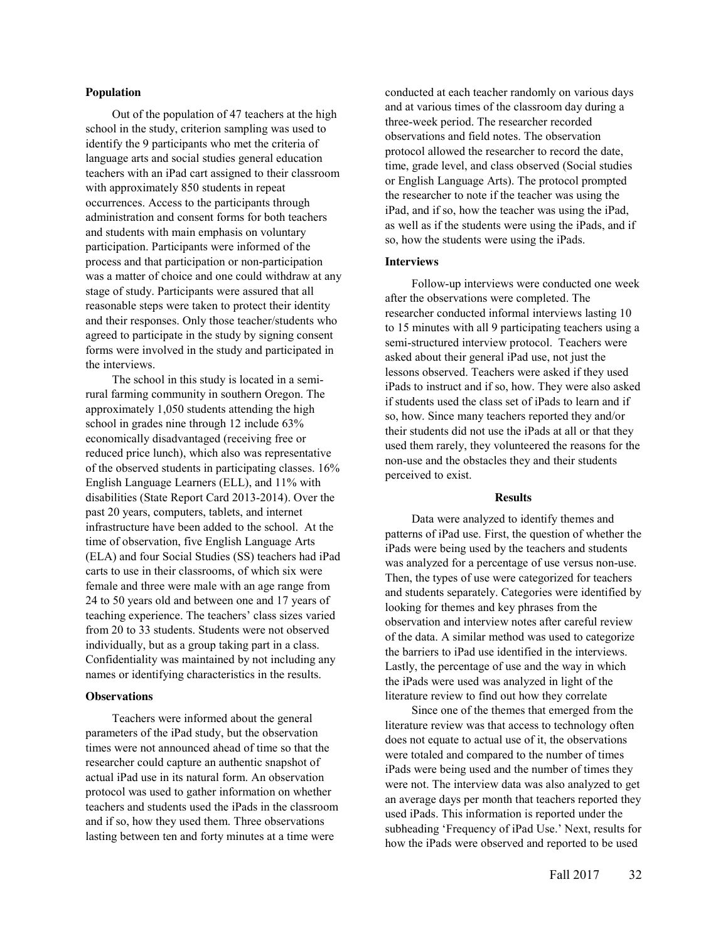## **Population**

Out of the population of 47 teachers at the high school in the study, criterion sampling was used to identify the 9 participants who met the criteria of language arts and social studies general education teachers with an iPad cart assigned to their classroom with approximately 850 students in repeat occurrences. Access to the participants through administration and consent forms for both teachers and students with main emphasis on voluntary participation. Participants were informed of the process and that participation or non-participation was a matter of choice and one could withdraw at any stage of study. Participants were assured that all reasonable steps were taken to protect their identity and their responses. Only those teacher/students who agreed to participate in the study by signing consent forms were involved in the study and participated in the interviews.

The school in this study is located in a semirural farming community in southern Oregon. The approximately 1,050 students attending the high school in grades nine through 12 include 63% economically disadvantaged (receiving free or reduced price lunch), which also was representative of the observed students in participating classes. 16% English Language Learners (ELL), and 11% with disabilities (State Report Card 2013-2014). Over the past 20 years, computers, tablets, and internet infrastructure have been added to the school. At the time of observation, five English Language Arts (ELA) and four Social Studies (SS) teachers had iPad carts to use in their classrooms, of which six were female and three were male with an age range from 24 to 50 years old and between one and 17 years of teaching experience. The teachers' class sizes varied from 20 to 33 students. Students were not observed individually, but as a group taking part in a class. Confidentiality was maintained by not including any names or identifying characteristics in the results.

#### **Observations**

Teachers were informed about the general parameters of the iPad study, but the observation times were not announced ahead of time so that the researcher could capture an authentic snapshot of actual iPad use in its natural form. An observation protocol was used to gather information on whether teachers and students used the iPads in the classroom and if so, how they used them. Three observations lasting between ten and forty minutes at a time were

conducted at each teacher randomly on various days and at various times of the classroom day during a three-week period. The researcher recorded observations and field notes. The observation protocol allowed the researcher to record the date, time, grade level, and class observed (Social studies or English Language Arts). The protocol prompted the researcher to note if the teacher was using the iPad, and if so, how the teacher was using the iPad, as well as if the students were using the iPads, and if so, how the students were using the iPads.

# **Interviews**

Follow-up interviews were conducted one week after the observations were completed. The researcher conducted informal interviews lasting 10 to 15 minutes with all 9 participating teachers using a semi-structured interview protocol. Teachers were asked about their general iPad use, not just the lessons observed. Teachers were asked if they used iPads to instruct and if so, how. They were also asked if students used the class set of iPads to learn and if so, how. Since many teachers reported they and/or their students did not use the iPads at all or that they used them rarely, they volunteered the reasons for the non-use and the obstacles they and their students perceived to exist.

#### **Results**

Data were analyzed to identify themes and patterns of iPad use. First, the question of whether the iPads were being used by the teachers and students was analyzed for a percentage of use versus non-use. Then, the types of use were categorized for teachers and students separately. Categories were identified by looking for themes and key phrases from the observation and interview notes after careful review of the data. A similar method was used to categorize the barriers to iPad use identified in the interviews. Lastly, the percentage of use and the way in which the iPads were used was analyzed in light of the literature review to find out how they correlate

Since one of the themes that emerged from the literature review was that access to technology often does not equate to actual use of it, the observations were totaled and compared to the number of times iPads were being used and the number of times they were not. The interview data was also analyzed to get an average days per month that teachers reported they used iPads. This information is reported under the subheading 'Frequency of iPad Use.' Next, results for how the iPads were observed and reported to be used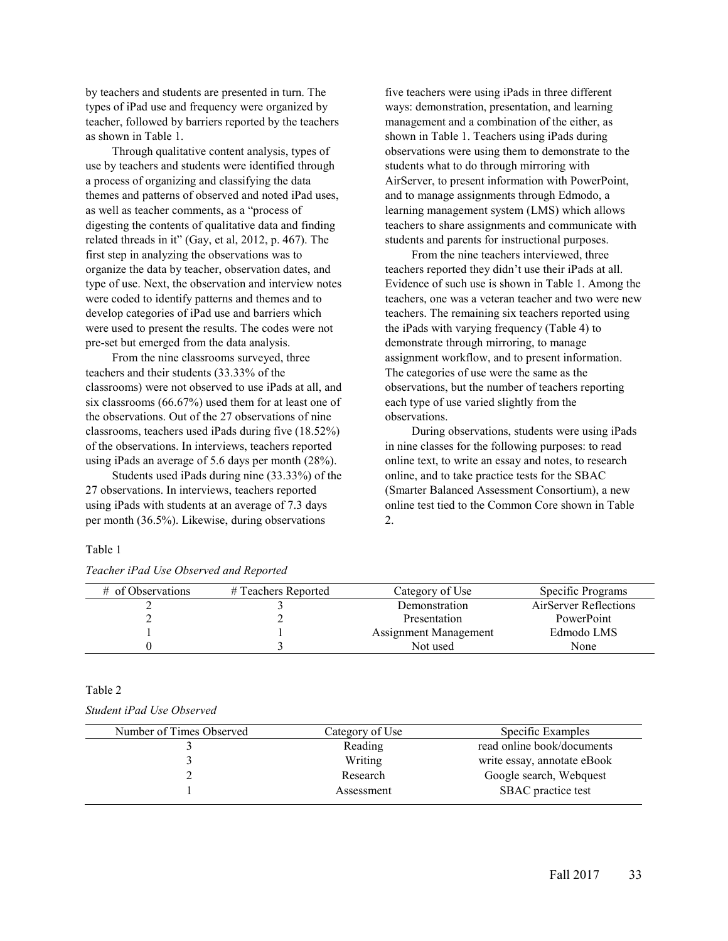by teachers and students are presented in turn. The types of iPad use and frequency were organized by teacher, followed by barriers reported by the teachers as shown in Table 1.

Through qualitative content analysis, types of use by teachers and students were identified through a process of organizing and classifying the data themes and patterns of observed and noted iPad uses, as well as teacher comments, as a "process of digesting the contents of qualitative data and finding related threads in it" (Gay, et al, 2012, p. 467). The first step in analyzing the observations was to organize the data by teacher, observation dates, and type of use. Next, the observation and interview notes were coded to identify patterns and themes and to develop categories of iPad use and barriers which were used to present the results. The codes were not pre-set but emerged from the data analysis.

From the nine classrooms surveyed, three teachers and their students (33.33% of the classrooms) were not observed to use iPads at all, and six classrooms (66.67%) used them for at least one of the observations. Out of the 27 observations of nine classrooms, teachers used iPads during five (18.52%) of the observations. In interviews, teachers reported using iPads an average of 5.6 days per month (28%).

Students used iPads during nine (33.33%) of the 27 observations. In interviews, teachers reported using iPads with students at an average of 7.3 days per month (36.5%). Likewise, during observations

# Table 1

|  | Teacher iPad Use Observed and Reported |
|--|----------------------------------------|

five teachers were using iPads in three different ways: demonstration, presentation, and learning management and a combination of the either, as shown in Table 1. Teachers using iPads during observations were using them to demonstrate to the students what to do through mirroring with AirServer, to present information with PowerPoint, and to manage assignments through Edmodo, a learning management system (LMS) which allows teachers to share assignments and communicate with students and parents for instructional purposes.

From the nine teachers interviewed, three teachers reported they didn't use their iPads at all. Evidence of such use is shown in Table 1. Among the teachers, one was a veteran teacher and two were new teachers. The remaining six teachers reported using the iPads with varying frequency (Table 4) to demonstrate through mirroring, to manage assignment workflow, and to present information. The categories of use were the same as the observations, but the number of teachers reporting each type of use varied slightly from the observations.

During observations, students were using iPads in nine classes for the following purposes: to read online text, to write an essay and notes, to research online, and to take practice tests for the SBAC (Smarter Balanced Assessment Consortium), a new online test tied to the Common Core shown in Table 2.

| # of Observations | # Teachers Reported | Category of Use       | Specific Programs     |
|-------------------|---------------------|-----------------------|-----------------------|
|                   |                     | Demonstration         | AirServer Reflections |
| ∸                 |                     | Presentation          | PowerPoint            |
|                   |                     | Assignment Management | Edmodo LMS            |
|                   |                     | Not used              | None                  |

#### Table 2

# *Student iPad Use Observed*

| Category of Use | Specific Examples           |
|-----------------|-----------------------------|
| Reading         | read online book/documents  |
| Writing         | write essay, annotate eBook |
| Research        | Google search, Webquest     |
| Assessment      | SBAC practice test          |
|                 |                             |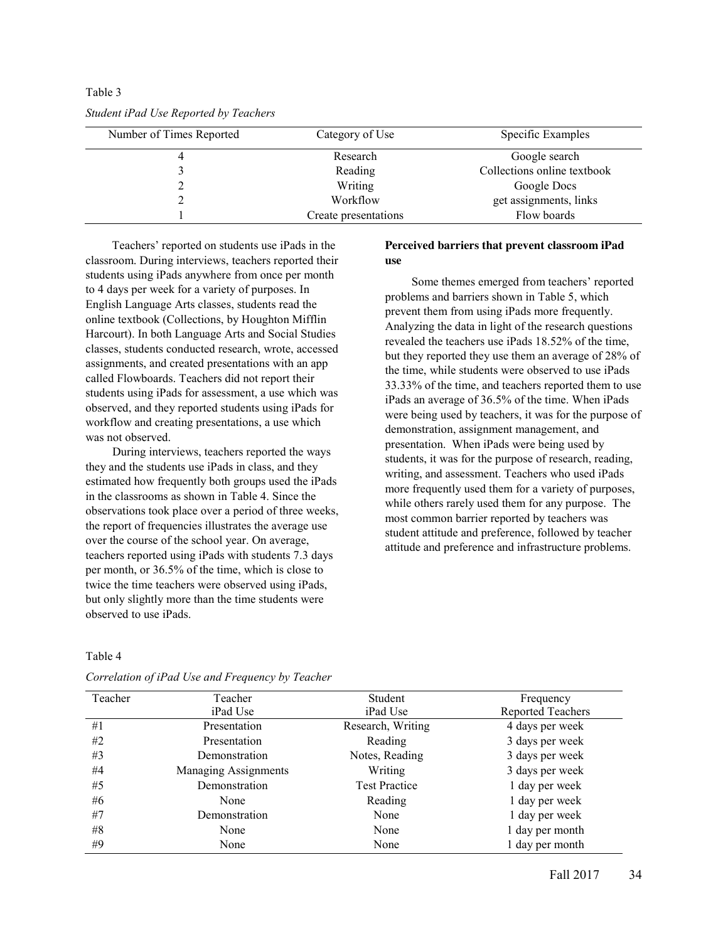| Number of Times Reported | Category of Use      | Specific Examples           |
|--------------------------|----------------------|-----------------------------|
|                          | Research             | Google search               |
|                          | Reading              | Collections online textbook |
|                          | Writing              | Google Docs                 |
|                          | Workflow             | get assignments, links      |
|                          | Create presentations | Flow boards                 |

*Student iPad Use Reported by Teachers* 

Table 3

Teachers' reported on students use iPads in the classroom. During interviews, teachers reported their students using iPads anywhere from once per month to 4 days per week for a variety of purposes. In English Language Arts classes, students read the online textbook (Collections, by Houghton Mifflin Harcourt). In both Language Arts and Social Studies classes, students conducted research, wrote, accessed assignments, and created presentations with an app called Flowboards. Teachers did not report their students using iPads for assessment, a use which was observed, and they reported students using iPads for workflow and creating presentations, a use which was not observed.

During interviews, teachers reported the ways they and the students use iPads in class, and they estimated how frequently both groups used the iPads in the classrooms as shown in Table 4. Since the observations took place over a period of three weeks, the report of frequencies illustrates the average use over the course of the school year. On average, teachers reported using iPads with students 7.3 days per month, or 36.5% of the time, which is close to twice the time teachers were observed using iPads, but only slightly more than the time students were observed to use iPads.

# **Perceived barriers that prevent classroom iPad use**

Some themes emerged from teachers' reported problems and barriers shown in Table 5, which prevent them from using iPads more frequently. Analyzing the data in light of the research questions revealed the teachers use iPads 18.52% of the time, but they reported they use them an average of 28% of the time, while students were observed to use iPads 33.33% of the time, and teachers reported them to use iPads an average of 36.5% of the time. When iPads were being used by teachers, it was for the purpose of demonstration, assignment management, and presentation. When iPads were being used by students, it was for the purpose of research, reading, writing, and assessment. Teachers who used iPads more frequently used them for a variety of purposes, while others rarely used them for any purpose. The most common barrier reported by teachers was student attitude and preference, followed by teacher attitude and preference and infrastructure problems.

# Table 4

| Teacher | Teacher              | Student              | Frequency                |
|---------|----------------------|----------------------|--------------------------|
|         | iPad Use             | iPad Use             | <b>Reported Teachers</b> |
| #1      | Presentation         | Research, Writing    | 4 days per week          |
| #2      | Presentation         | Reading              | 3 days per week          |
| #3      | Demonstration        | Notes, Reading       | 3 days per week          |
| #4      | Managing Assignments | Writing              | 3 days per week          |
| #5      | Demonstration        | <b>Test Practice</b> | 1 day per week           |
| #6      | None                 | Reading              | 1 day per week           |
| #7      | Demonstration        | None                 | 1 day per week           |
| #8      | None                 | None                 | 1 day per month          |
| #9      | None                 | None                 | 1 day per month          |

*Correlation of iPad Use and Frequency by Teacher*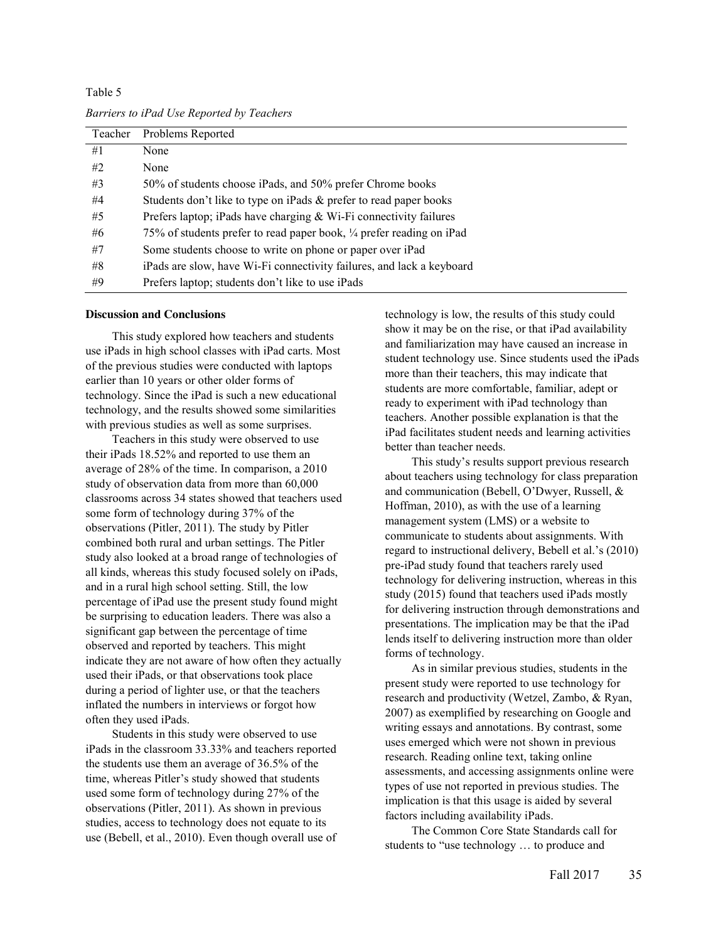Table 5 *Barriers to iPad Use Reported by Teachers* 

| Teacher | Problems Reported                                                     |
|---------|-----------------------------------------------------------------------|
| #1      | None                                                                  |
| #2      | None                                                                  |
| #3      | 50% of students choose iPads, and 50% prefer Chrome books             |
| #4      | Students don't like to type on iPads & prefer to read paper books     |
| #5      | Prefers laptop; iPads have charging & Wi-Fi connectivity failures     |
| #6      | 75% of students prefer to read paper book, ¼ prefer reading on iPad   |
| #7      | Some students choose to write on phone or paper over iPad             |
| #8      | iPads are slow, have Wi-Fi connectivity failures, and lack a keyboard |
| #9      | Prefers laptop; students don't like to use iPads                      |

### **Discussion and Conclusions**

This study explored how teachers and students use iPads in high school classes with iPad carts. Most of the previous studies were conducted with laptops earlier than 10 years or other older forms of technology. Since the iPad is such a new educational technology, and the results showed some similarities with previous studies as well as some surprises.

Teachers in this study were observed to use their iPads 18.52% and reported to use them an average of 28% of the time. In comparison, a 2010 study of observation data from more than 60,000 classrooms across 34 states showed that teachers used some form of technology during 37% of the observations (Pitler, 2011). The study by Pitler combined both rural and urban settings. The Pitler study also looked at a broad range of technologies of all kinds, whereas this study focused solely on iPads, and in a rural high school setting. Still, the low percentage of iPad use the present study found might be surprising to education leaders. There was also a significant gap between the percentage of time observed and reported by teachers. This might indicate they are not aware of how often they actually used their iPads, or that observations took place during a period of lighter use, or that the teachers inflated the numbers in interviews or forgot how often they used iPads.

Students in this study were observed to use iPads in the classroom 33.33% and teachers reported the students use them an average of 36.5% of the time, whereas Pitler's study showed that students used some form of technology during 27% of the observations (Pitler, 2011). As shown in previous studies, access to technology does not equate to its use (Bebell, et al., 2010). Even though overall use of technology is low, the results of this study could show it may be on the rise, or that iPad availability and familiarization may have caused an increase in student technology use. Since students used the iPads more than their teachers, this may indicate that students are more comfortable, familiar, adept or ready to experiment with iPad technology than teachers. Another possible explanation is that the iPad facilitates student needs and learning activities better than teacher needs.

This study's results support previous research about teachers using technology for class preparation and communication (Bebell, O'Dwyer, Russell, & Hoffman, 2010), as with the use of a learning management system (LMS) or a website to communicate to students about assignments. With regard to instructional delivery, Bebell et al.'s (2010) pre-iPad study found that teachers rarely used technology for delivering instruction, whereas in this study (2015) found that teachers used iPads mostly for delivering instruction through demonstrations and presentations. The implication may be that the iPad lends itself to delivering instruction more than older forms of technology.

As in similar previous studies, students in the present study were reported to use technology for research and productivity (Wetzel, Zambo, & Ryan, 2007) as exemplified by researching on Google and writing essays and annotations. By contrast, some uses emerged which were not shown in previous research. Reading online text, taking online assessments, and accessing assignments online were types of use not reported in previous studies. The implication is that this usage is aided by several factors including availability iPads.

The Common Core State Standards call for students to "use technology … to produce and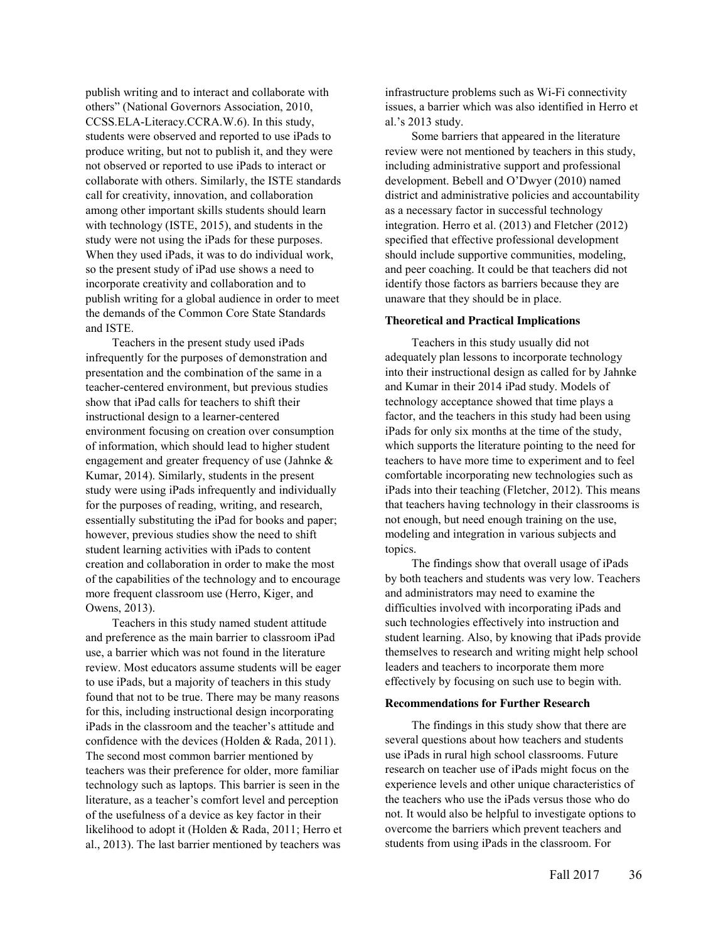publish writing and to interact and collaborate with others" (National Governors Association, 2010, CCSS.ELA-Literacy.CCRA.W.6). In this study, students were observed and reported to use iPads to produce writing, but not to publish it, and they were not observed or reported to use iPads to interact or collaborate with others. Similarly, the ISTE standards call for creativity, innovation, and collaboration among other important skills students should learn with technology (ISTE, 2015), and students in the study were not using the iPads for these purposes. When they used iPads, it was to do individual work, so the present study of iPad use shows a need to incorporate creativity and collaboration and to publish writing for a global audience in order to meet the demands of the Common Core State Standards and ISTE.

Teachers in the present study used iPads infrequently for the purposes of demonstration and presentation and the combination of the same in a teacher-centered environment, but previous studies show that iPad calls for teachers to shift their instructional design to a learner-centered environment focusing on creation over consumption of information, which should lead to higher student engagement and greater frequency of use (Jahnke & Kumar, 2014). Similarly, students in the present study were using iPads infrequently and individually for the purposes of reading, writing, and research, essentially substituting the iPad for books and paper; however, previous studies show the need to shift student learning activities with iPads to content creation and collaboration in order to make the most of the capabilities of the technology and to encourage more frequent classroom use (Herro, Kiger, and Owens, 2013).

Teachers in this study named student attitude and preference as the main barrier to classroom iPad use, a barrier which was not found in the literature review. Most educators assume students will be eager to use iPads, but a majority of teachers in this study found that not to be true. There may be many reasons for this, including instructional design incorporating iPads in the classroom and the teacher's attitude and confidence with the devices (Holden & Rada, 2011). The second most common barrier mentioned by teachers was their preference for older, more familiar technology such as laptops. This barrier is seen in the literature, as a teacher's comfort level and perception of the usefulness of a device as key factor in their likelihood to adopt it (Holden & Rada, 2011; Herro et al., 2013). The last barrier mentioned by teachers was

infrastructure problems such as Wi-Fi connectivity issues, a barrier which was also identified in Herro et al.'s 2013 study.

Some barriers that appeared in the literature review were not mentioned by teachers in this study, including administrative support and professional development. Bebell and O'Dwyer (2010) named district and administrative policies and accountability as a necessary factor in successful technology integration. Herro et al. (2013) and Fletcher (2012) specified that effective professional development should include supportive communities, modeling, and peer coaching. It could be that teachers did not identify those factors as barriers because they are unaware that they should be in place.

# **Theoretical and Practical Implications**

Teachers in this study usually did not adequately plan lessons to incorporate technology into their instructional design as called for by Jahnke and Kumar in their 2014 iPad study. Models of technology acceptance showed that time plays a factor, and the teachers in this study had been using iPads for only six months at the time of the study, which supports the literature pointing to the need for teachers to have more time to experiment and to feel comfortable incorporating new technologies such as iPads into their teaching (Fletcher, 2012). This means that teachers having technology in their classrooms is not enough, but need enough training on the use, modeling and integration in various subjects and topics.

The findings show that overall usage of iPads by both teachers and students was very low. Teachers and administrators may need to examine the difficulties involved with incorporating iPads and such technologies effectively into instruction and student learning. Also, by knowing that iPads provide themselves to research and writing might help school leaders and teachers to incorporate them more effectively by focusing on such use to begin with.

#### **Recommendations for Further Research**

The findings in this study show that there are several questions about how teachers and students use iPads in rural high school classrooms. Future research on teacher use of iPads might focus on the experience levels and other unique characteristics of the teachers who use the iPads versus those who do not. It would also be helpful to investigate options to overcome the barriers which prevent teachers and students from using iPads in the classroom. For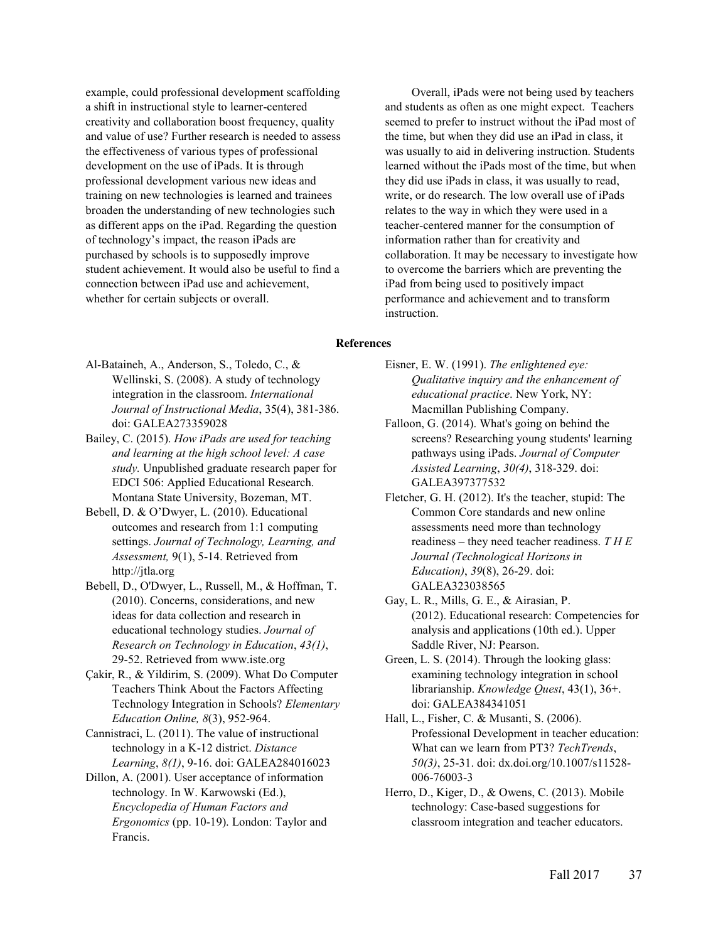example, could professional development scaffolding a shift in instructional style to learner-centered creativity and collaboration boost frequency, quality and value of use? Further research is needed to assess the effectiveness of various types of professional development on the use of iPads. It is through professional development various new ideas and training on new technologies is learned and trainees broaden the understanding of new technologies such as different apps on the iPad. Regarding the question of technology's impact, the reason iPads are purchased by schools is to supposedly improve student achievement. It would also be useful to find a connection between iPad use and achievement, whether for certain subjects or overall.

Overall, iPads were not being used by teachers and students as often as one might expect. Teachers seemed to prefer to instruct without the iPad most of the time, but when they did use an iPad in class, it was usually to aid in delivering instruction. Students learned without the iPads most of the time, but when they did use iPads in class, it was usually to read, write, or do research. The low overall use of iPads relates to the way in which they were used in a teacher-centered manner for the consumption of information rather than for creativity and collaboration. It may be necessary to investigate how to overcome the barriers which are preventing the iPad from being used to positively impact performance and achievement and to transform instruction.

# **References**

- Al-Bataineh, A., Anderson, S., Toledo, C., & Wellinski, S. (2008). A study of technology integration in the classroom. *International Journal of Instructional Media*, 35(4), 381-386. doi: GALEA273359028
- Bailey, C. (2015). *How iPads are used for teaching and learning at the high school level: A case study.* Unpublished graduate research paper for EDCI 506: Applied Educational Research. Montana State University, Bozeman, MT.
- Bebell, D. & O'Dwyer, L. (2010). Educational outcomes and research from 1:1 computing settings. *Journal of Technology, Learning, and Assessment,* 9(1), 5-14. Retrieved from http://jtla.org
- Bebell, D., O'Dwyer, L., Russell, M., & Hoffman, T. (2010). Concerns, considerations, and new ideas for data collection and research in educational technology studies. *Journal of Research on Technology in Education*, *43(1)*, 29-52. Retrieved from www.iste.org
- Çakir, R., & Yildirim, S. (2009). What Do Computer Teachers Think About the Factors Affecting Technology Integration in Schools? *Elementary Education Online, 8*(3), 952-964.
- Cannistraci, L. (2011). The value of instructional technology in a K-12 district. *Distance Learning*, *8(1)*, 9-16. doi: GALEA284016023
- Dillon, A. (2001). User acceptance of information technology. In W. Karwowski (Ed.), *Encyclopedia of Human Factors and Ergonomics* (pp. 10-19). London: Taylor and Francis.
- Eisner, E. W. (1991). *The enlightened eye: Qualitative inquiry and the enhancement of educational practice*. New York, NY: Macmillan Publishing Company.
- Falloon, G. (2014). What's going on behind the screens? Researching young students' learning pathways using iPads. *Journal of Computer Assisted Learning*, *30(4)*, 318-329. doi: GALEA397377532
- Fletcher, G. H. (2012). It's the teacher, stupid: The Common Core standards and new online assessments need more than technology readiness – they need teacher readiness. *T H E Journal (Technological Horizons in Education)*, *39*(8), 26-29. doi: GALEA323038565
- Gay, L. R., Mills, G. E., & Airasian, P. (2012). Educational research: Competencies for analysis and applications (10th ed.). Upper Saddle River, NJ: Pearson.
- Green, L. S. (2014). Through the looking glass: examining technology integration in school librarianship. *Knowledge Quest*, 43(1), 36+. doi: GALEA384341051
- Hall, L., Fisher, C. & Musanti, S. (2006). Professional Development in teacher education: What can we learn from PT3? *TechTrends*, *50(3)*, 25-31. doi: dx.doi.org/10.1007/s11528- 006-76003-3
- Herro, D., Kiger, D., & Owens, C. (2013). Mobile technology: Case-based suggestions for classroom integration and teacher educators.